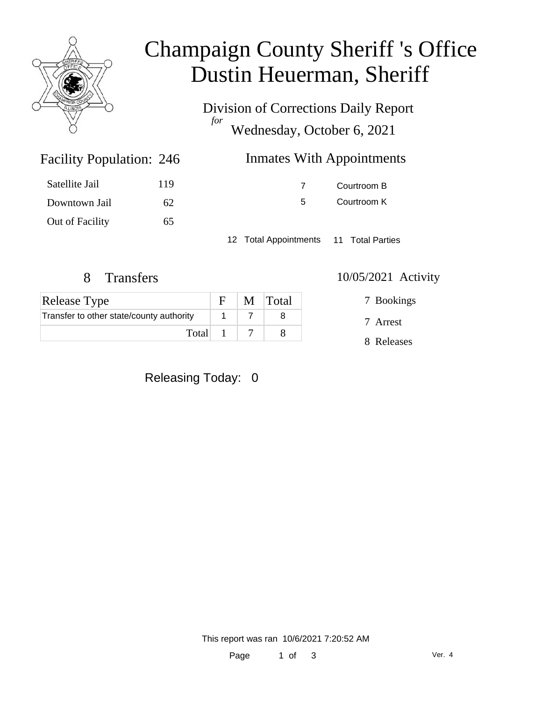

# Champaign County Sheriff 's Office Dustin Heuerman, Sheriff

Division of Corrections Daily Report *for* Wednesday, October 6, 2021

| 246 | <b>Inmates With Appointments</b> |
|-----|----------------------------------|
|     |                                  |

| Satellite Jail  | 119 |
|-----------------|-----|
| Downtown Jail   | 62  |
| Out of Facility | 65  |

Facility Population: 246

7 Courtroom B

5 Courtroom K

12 Total Appointments 11 Total Parties

## 8 Transfers 10/05/2021 Activity

| Release Type                             |  | $F \mid M \mid \text{Total}$ |
|------------------------------------------|--|------------------------------|
| Transfer to other state/county authority |  |                              |
| Total $1 \mid 7$                         |  |                              |

7 Bookings

7 Arrest

8 Releases

### Releasing Today: 0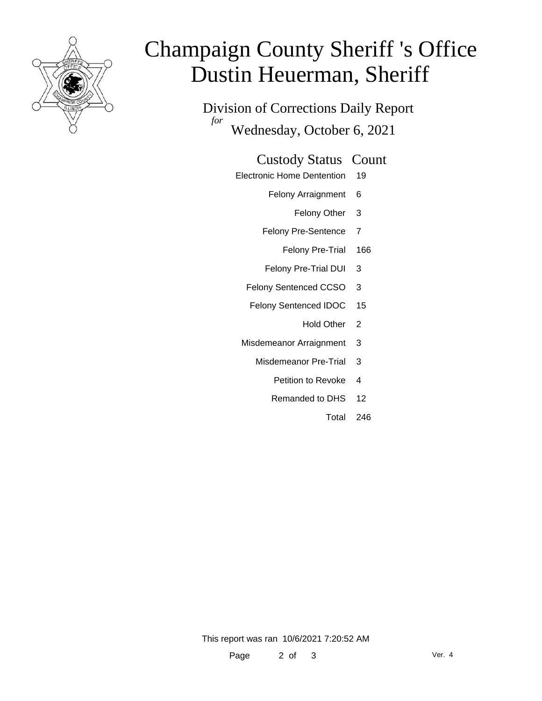

# Champaign County Sheriff 's Office Dustin Heuerman, Sheriff

Division of Corrections Daily Report *for* Wednesday, October 6, 2021

#### Custody Status Count

- Electronic Home Dentention 19
	- Felony Arraignment 6
		- Felony Other 3
	- Felony Pre-Sentence 7
		- Felony Pre-Trial 166
	- Felony Pre-Trial DUI 3
	- Felony Sentenced CCSO 3
	- Felony Sentenced IDOC 15
		- Hold Other<sub>2</sub>
	- Misdemeanor Arraignment 3
		- Misdemeanor Pre-Trial 3
			- Petition to Revoke 4
			- Remanded to DHS 12
				- Total 246

This report was ran 10/6/2021 7:20:52 AM